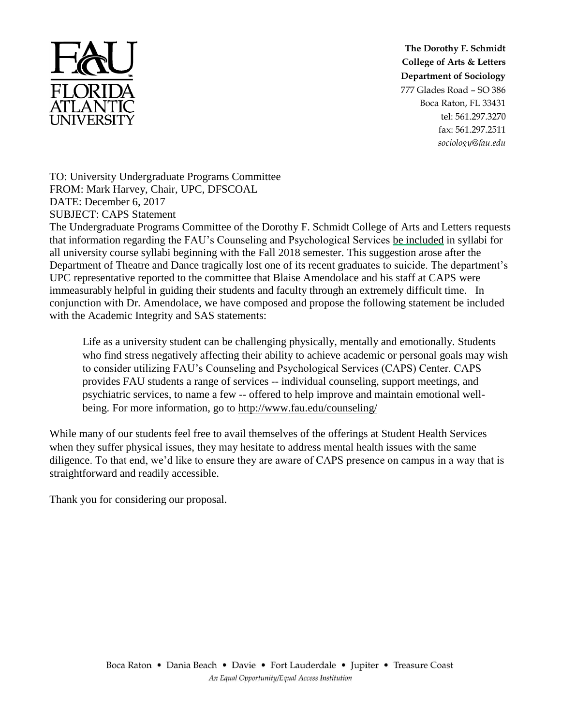

**The Dorothy F. Schmidt College of Arts & Letters Department of Sociology** 777 Glades Road – SO 386 Boca Raton, FL 33431 tel: 561.297.3270 fax: 561.297.2511 *sociology@fau.edu*

TO: University Undergraduate Programs Committee FROM: Mark Harvey, Chair, UPC, DFSCOAL DATE: December 6, 2017 SUBJECT: CAPS Statement

The Undergraduate Programs Committee of the Dorothy F. Schmidt College of Arts and Letters requests that information regarding the FAU's Counseling and Psychological Services be included in syllabi for all university course syllabi beginning with the Fall 2018 semester. This suggestion arose after the Department of Theatre and Dance tragically lost one of its recent graduates to suicide. The department's UPC representative reported to the committee that Blaise Amendolace and his staff at CAPS were immeasurably helpful in guiding their students and faculty through an extremely difficult time. In conjunction with Dr. Amendolace, we have composed and propose the following statement be included with the Academic Integrity and SAS statements:

Life as a university student can be challenging physically, mentally and emotionally. Students who find stress negatively affecting their ability to achieve academic or personal goals may wish to consider utilizing FAU's Counseling and Psychological Services (CAPS) Center. CAPS provides FAU students a range of services -- individual counseling, support meetings, and psychiatric services, to name a few -- offered to help improve and maintain emotional wellbeing. For more information, go to<http://www.fau.edu/counseling/>

While many of our students feel free to avail themselves of the offerings at Student Health Services when they suffer physical issues, they may hesitate to address mental health issues with the same diligence. To that end, we'd like to ensure they are aware of CAPS presence on campus in a way that is straightforward and readily accessible.

Thank you for considering our proposal.